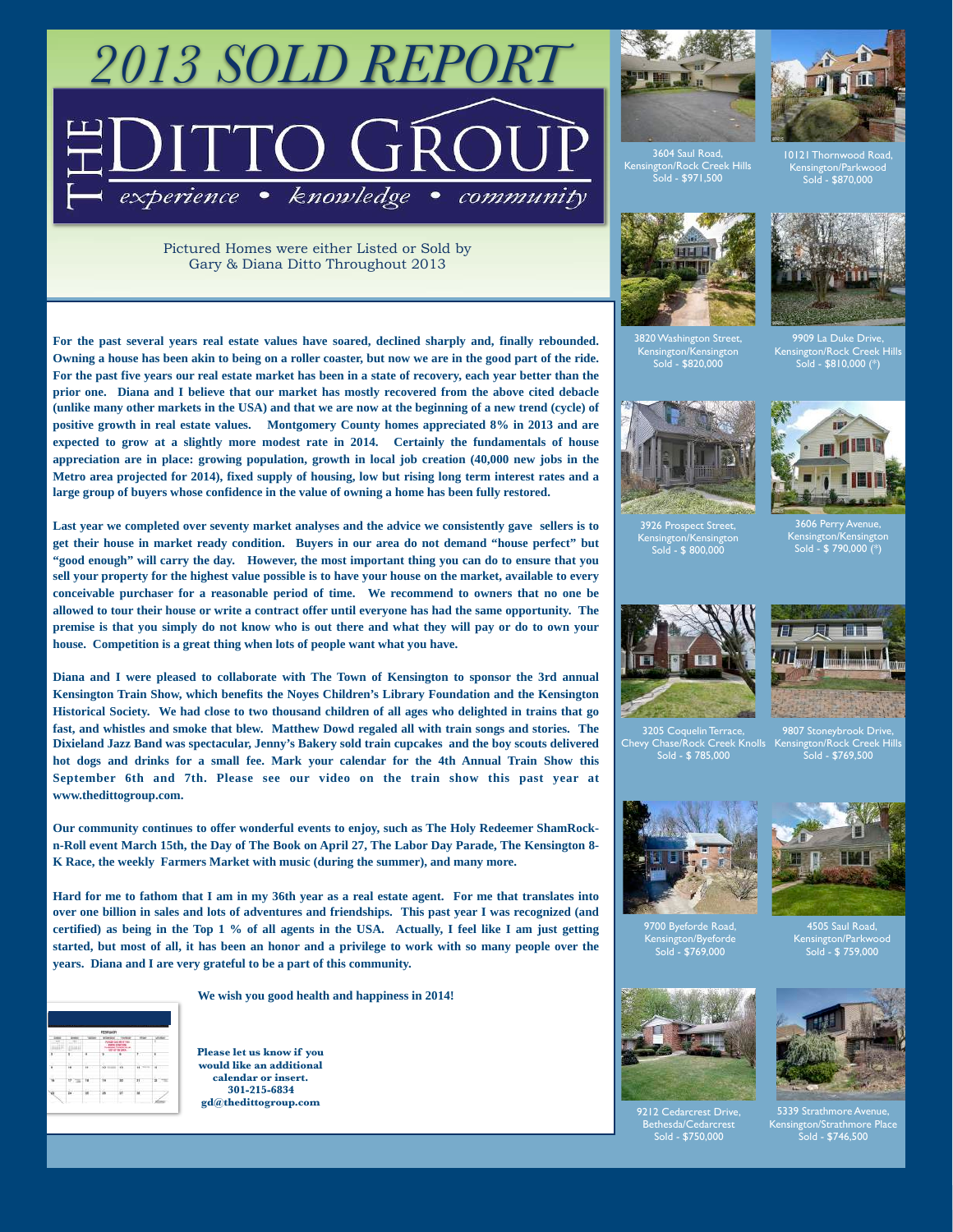# *2013 SOLD REPORT* experience · knowledge community

Pictured Homes were either Listed or Sold by Gary & Diana Ditto Throughout 2013

**For the past several years real estate values have soared, declined sharply and, finally rebounded. Owning a house has been akin to being on a roller coaster, but now we are in the good part of the ride. For the past five years our real estate market has been in a state of recovery, each year better than the prior one. Diana and I believe that our market has mostly recovered from the above cited debacle (unlike many other markets in the USA) and that we are now at the beginning of a new trend (cycle) of positive growth in real estate values. Montgomery County homes appreciated 8% in 2013 and are expected to grow at a slightly more modest rate in 2014. Certainly the fundamentals of house appreciation are in place: growing population, growth in local job creation (40,000 new jobs in the Metro area projected for 2014), fixed supply of housing, low but rising long term interest rates and a large group of buyers whose confidence in the value of owning a home has been fully restored.** 

**Last year we completed over seventy market analyses and the advice we consistently gave sellers is to get their house in market ready condition. Buyers in our area do not demand "house perfect" but "good enough" will carry the day. However, the most important thing you can do to ensure that you sell your property for the highest value possible is to have your house on the market, available to every conceivable purchaser for a reasonable period of time. We recommend to owners that no one be allowed to tour their house or write a contract offer until everyone has had the same opportunity. The premise is that you simply do not know who is out there and what they will pay or do to own your house. Competition is a great thing when lots of people want what you have.** 

**Diana and I were pleased to collaborate with The Town of Kensington to sponsor the 3rd annual Kensington Train Show, which benefits the Noyes Children's Library Foundation and the Kensington Historical Society. We had close to two thousand children of all ages who delighted in trains that go fast, and whistles and smoke that blew. Matthew Dowd regaled all with train songs and stories. The Dixieland Jazz Band was spectacular, Jenny's Bakery sold train cupcakes and the boy scouts delivered hot dogs and drinks for a small fee. Mark your calendar for the 4th Annual Train Show this September 6th and 7th. Please see our video on the train show this past year at www.thedittogroup.com.** 

**Our community continues to offer wonderful events to enjoy, such as The Holy Redeemer ShamRockn-Roll event March 15th, the Day of The Book on April 27, The Labor Day Parade, The Kensington 8- K Race, the weekly Farmers Market with music (during the summer), and many more.** 

**Hard for me to fathom that I am in my 36th year as a real estate agent. For me that translates into over one billion in sales and lots of adventures and friendships. This past year I was recognized (and certified) as being in the Top 1 % of all agents in the USA. Actually, I feel like I am just getting started, but most of all, it has been an honor and a privilege to work with so many people over the years. Diana and I are very grateful to be a part of this community.** 

**We wish you good health and happiness in 2014!**



**Please let us know if you would like an additional calendar or insert. 301-215-6834 gd@thedittogroup.com**







Kensington/Parkwood Sold - \$870,000





3820 Washington Street, Kensington/Kensington Sold - \$820,000

9909 La Duke Drive, Kensington/Rock Creek Hills Sold - \$810,000 (\*)



3926 Prospect Street, Kensington/Kensington Sold - \$ 800,000



3606 Perry Avenue, Kensington/Kensington Sold - \$ 790,000 (\*)





3205 Coquelin Terrace, Chevy Chase/Rock Creek Knolls Sold - \$ 785,000





Kensington/Byeforde Sold - \$769,000



4505 Saul Road, Kensington/Parkwood Sold - \$ 759,000



Bethesda/Cedarcrest Sold - \$750,000



5339 Strath Kensington/Strathmore Place Sold - \$746,500

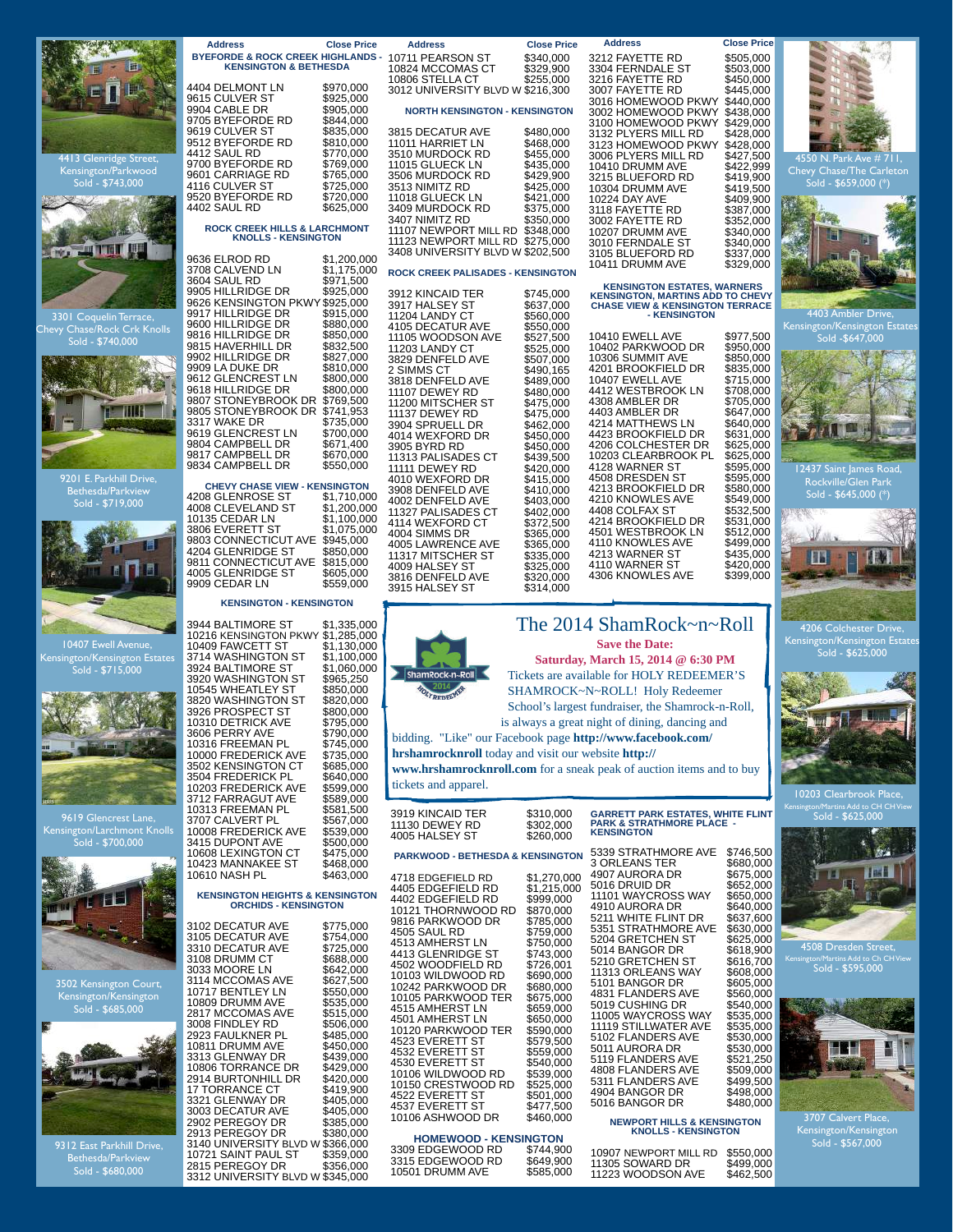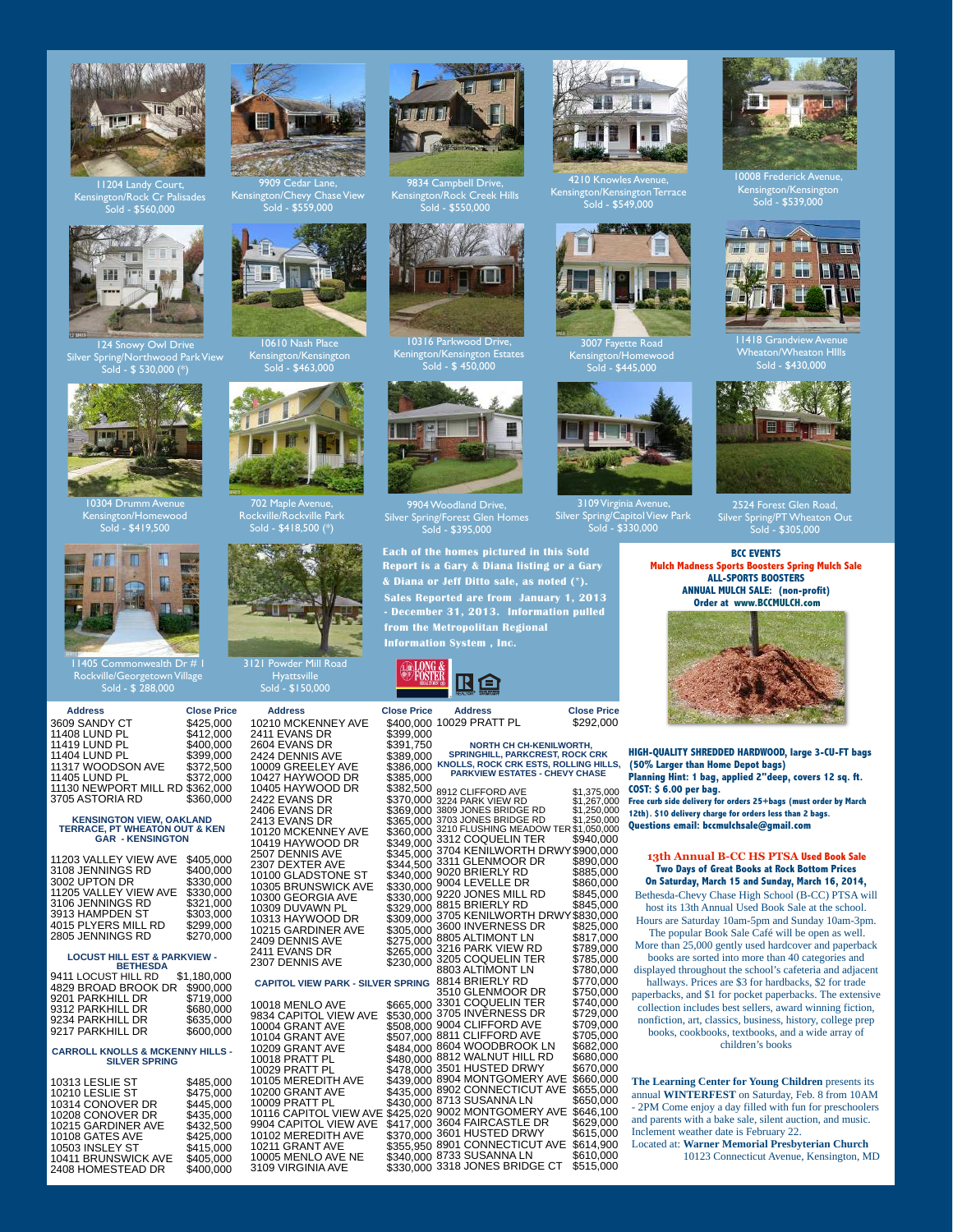

Kensington/Rock Cr Palisades Sold - \$560,000



124 Snowy Owl Drive Park View  $\frac{d}{d - $}$  \$ 530,000 (\*)



0304 Drumm Kensington/Homewood Sold - \$419,500

Π.



 **Address Close Price** 3609 SANDY CT \$425,000<br>11408 LUND PL \$412,000 11408 LUND PL<br>11419 LUND PL \$412,000 11419 LUND PL \$400,000<br>11404 LUND PL \$399,000 11404 LUND PL \$399,000<br>11317 WOODSON AVE \$372,500 11317 WOODSON AVE \$372,500<br>11405 LUND PL \$372,000 11405 LUND PL 11130 NEWPORT MILL RD \$362,000 3705 ASTORIA RD

# **KENSINGTON VIEW, OAKLAND TERRACE, PT WHEATON OUT & KEN GAR - KENSINGTON**

| 11203 VALLEY VIEW AVE | \$405,000 |
|-----------------------|-----------|
| 3108 JENNINGS RD      | \$400.000 |
| 3002 UPTON DR         | \$330.000 |
| 11205 VALLEY VIEW AVE | \$330,000 |
| 3106 JENNINGS RD      | \$321.000 |
| 3913 HAMPDEN ST       | \$303.000 |
| 4015 PLYERS MILL RD   | \$299.000 |
| 2805 JENNINGS RD      | \$270.000 |
|                       |           |

### **LOCUST HILL EST & PARKVIEW -**

| <b>BETHESDA</b>     |             |  |
|---------------------|-------------|--|
| 9411 LOCUST HILL RD | \$1,180,000 |  |
| 4829 BROAD BROOK DR | \$900,000   |  |
| 9201 PARKHILL DR    | \$719.000   |  |
| 9312 PARKHILL DR    | \$680,000   |  |
| 9234 PARKHILL DR    | \$635,000   |  |
| 9217 PARKHILL DR    | \$600,000   |  |
|                     |             |  |

#### **CARROLL KNOLLS & MCKENNY HILLS - SILVER SPRING**

| 10313 LESLIE ST     | \$485.000 |
|---------------------|-----------|
| 10210 LESLIE ST     | \$475.000 |
| 10314 CONOVER DR    | \$445,000 |
| 10208 CONOVER DR    | \$435.000 |
| 10215 GARDINER AVE  | \$432.500 |
| 10108 GATES AVE     | \$425,000 |
| 10503 INSLEY ST     | \$415.000 |
| 10411 BRUNSWICK AVE | \$405.000 |
| 2408 HOMESTEAD DR   | \$400,000 |
|                     |           |



Kensington/Chevy Chase View Sold - \$559,000



10610 Nash Place Kensington/Kensington Sold - \$463,000



702 Maple Avenue, Rockville/Rockville Park Sold - \$418,500 (\*)



### 3121 Powder Mill Road **Hyattsville**

Sold - \$150,000

 **Address Close Price** 10210 MCKENNEY AVE \$400,000<br>2411 EVANS DR \$399,000 2411 EVANS DR \$399,000 2604 EVANS DR \$391,750 2424 DENNIS AVE 10009 GREELEY AVE \$386,000 10427 HAYWOOD DR \$385,000 10405 HAYWOOD DR 2422 EVANS DR \$370,000 2406 EVANS DR \$369,000  $2413$  EVANS DR 10120 MCKENNEY AVE \$360,000<br>10419 HAYWOOD DR \$349,000 2507 DENNIS AVE

2307 DEXTER AVE \$344,500 10100 GLADSTONE ST \$340,000 10305 BRUNSWICK AVE 10300 GEORGIA AVE \$330,000 10309 DUVAWN PL \$329,000 10309 DUVAWN PLATE 3000,000 3213 BRIERLY RD<br>10313 HAYWOOD DR \$309,000 3705 KENILWORT<br>10215 GARDINER AVE \$305,000 3600 INVERNESS<br>2409 DENNIS AVE \$275,000 8805 ALTIMONT LI 10215 GARDINER AVE 2409 DENNIS AVE **2411 EVANS DR** 2307 DENNIS AVE **CAPITOL VIEW PARK - SILVER SPRING** 10018 MENLO AVE \$665,000 9834 CAPITOL VIEW AVE \$530,000 10004 GRANT AVE 10104 GRANT AVE \$507,000 10209 GRANT AVE \$484,000 10018 PRATT PL 10029 PRATT PL \$478,000 10105 MEREDITH AVE \$439,000 10200 GRANT AVE

9904 CAPITOL VIEW AVE 10102 MEREDITH AVE 10211 GRANT AVE 10005 MENLO AVE NE 3109 VIRGINIA AVE



9834 Campbell Drive, Kensington/Rock Creek Hills  $sl_4$  - \$550,000  $sl_4$ 



10316 Parkwood Drive, Kenington/Kensington Estates



**Sales Reported are from January 1, 2013 - December 31, 2013. Information pulled from the Metropolitan Regional Each of the homes pictured in this Sold Report is a Gary & Diana listing or a Gary & Diana or Jeff Ditto sale, as noted (\*).**





10009 PRATT PL \$430,000 10116 CAPITOL VIEW AVE \$425,020 **NORTH CH CH-KENILWORTH, SPRINGHILL, PARKCREST, ROCK CRK KNOLLS, ROCK CRK ESTS, ROLLING HILLS, PARKVIEW ESTATES - CHEVY CHASE**  8912 CLIFFORD AVE \$1,375,000<br>3224 PARK VIEW RD \$1,267,000<br>3809 JONES BRIDGE RD \$1,250,000<br>3703 JONES BRIDGE RD \$1,250,000<br>3210 FLUSHING MEADOW TER \$1,050,000 3312 COQUELIN TER \$940,000 3704 KENILWORTH DRWY \$900,000 3311 GLENMOOR DR \$890,000 9020 BRIERLY RD \$885,000 3340,000 SOLD DIVEREL IND \$885,000<br>\$330,000 9004 LEVELLE DR \$860,000<br>\$330,000 9220 JONES MILL RD \$845,000  $\frac{3230,000}{330,000}$  9220 JONES MILL RD \$845,000<br>\$330,000 8815 BRIERI Y RD \$845,000 8815 BRIERLY RD \$845,000<br>3705 KENILWORTH DRWY \$830,000 3600 INVERNESS DR \$825,000 8805 ALTIMONT LN \$817,000 3215,000 3216 PARK VIEW RD \$789,000<br>\$265,000 3205 COQUELIN TER \$785,000<br>\$230,000 3803 ALTIMONT LN \$780,000 3205 COQUELIN TER \$785,000 8803 ALTIMONT LN \$780,000 8814 BRIERLY RD \$770,000<br>3510 GLENMOOR DR \$750,000<br>3301 COQUELIN TER \$740,000 3510 GLENMOOR DR \$750,000 3301 COQUELIN TER \$740,000 \$530,000 3705 INVERNESS DR \$729,000<br>\$508,000 9004 CLIFFORD AVE \$709,000<br>\$507,000 8811 CLIFFORD AVE \$705,000 9004 CLIFFORD AVE \$709,000 8811 CLIFFORD AVE \$705,000 3284,000 8604 WOODBROOK LN \$682,000<br>\$484,000 8812 WALNUT HILL RD \$680,000 8812 WALNUT HILL RD \$680,000 3501 HUSTED DRWY \$670,000 8904 MONTGOMERY AVE \$660,000 8902 CONNECTICUT AVE \$655,000<br>8713 SUSANNA LN \$650,000<br>9002 MONTGOMERY AVE \$646,100 3640,100<br>\$417,000 3604 FAIRCASTLE DR \$629,000<br>\$370,000 3601 HUSTED DRWY \$615,000 3601 HUSTED DRWY \$615,000 8901 CONNECTICUT AVE \$614,900  $$340,000$  8733 SUSANNA LN  $$610,000$ \$330,000 3318 JONES BRIDGE CT \$515,000



4210 Knowles Avenue, Kensington/Kensington Terrace  $\mathop{\rm \dot{o}old}$  -  $\$549,\!000$ 



3007 Fayette Road Kensington/Homewood Sold - \$445,000



3109 Virginia Avenue, Silver Spring/Capitol View Park Sold - \$330,000



0008 Frederick Avenue Kensington/Kensington Sold - \$539,000



1418 Grandview A Wheaton/Wheaton HIlls Sold - \$430,000



Silver Spring/PT Wheaton Out Sold - \$305,000

**BCC EVENTS Mulch Madness Sports Boosters Spring Mulch Sale ALL-SPORTS BOOSTERS ANNUAL MULCH SALE: (non-profit) Order at www.BCCMULCH.com**



**HIGH-QUALITY SHREDDED HARDWOOD, large 3-CU-FT bags (50% Larger than Home Depot bags) Planning Hint: 1 bag, applied 2"deep, covers 12 sq. ft.**

**COST: \$ 6.00 per bag. Free curb side delivery for orders 25+bags (must order by March 12th). \$10 delivery charge for orders less than 2 bags. Questions email: bccmulchsale@gmail.com**

### **13th Annual B-CC HS PTSA Used Book Sale Two Days of Great Books at Rock Bottom Prices On Saturday, March 15 and Sunday, March 16, 2014,**

Bethesda-Chevy Chase High School (B-CC) PTSA will host its 13th Annual Used Book Sale at the school. Hours are Saturday 10am-5pm and Sunday 10am-3pm.

The popular Book Sale Café will be open as well. More than 25,000 gently used hardcover and paperback books are sorted into more than 40 categories and

displayed throughout the school's cafeteria and adjacent hallways. Prices are \$3 for hardbacks, \$2 for trade

paperbacks, and \$1 for pocket paperbacks. The extensive collection includes best sellers, award winning fiction, nonfiction, art, classics, business, history, college prep books, cookbooks, textbooks, and a wide array of children's books

**The Learning Center for Young Children** presents its annual **WINTERFEST** on Saturday, Feb. 8 from 10AM - 2PM Come enjoy a day filled with fun for preschoolers and parents with a bake sale, silent auction, and music. Inclement weather date is February 22. Located at: **Warner Memorial Presbyterian Church**

10123 Connecticut Avenue, Kensington, MD





Silver Spring/Forest Glen Homes Sold - \$395,000

**Information System , Inc.**